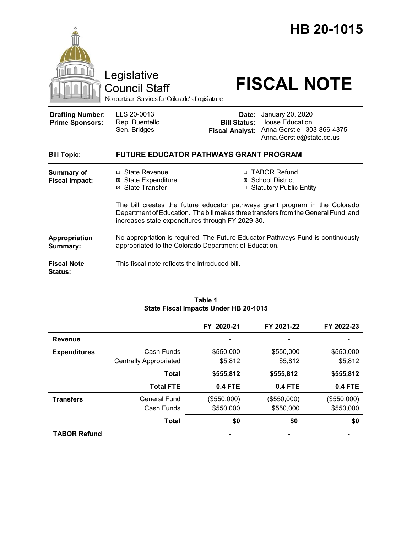|                                                   | Legislative<br><b>Council Staff</b><br>Nonpartisan Services for Colorado's Legislature                                                                                                                                |                                 | HB 20-1015<br><b>FISCAL NOTE</b>                                                                                   |  |
|---------------------------------------------------|-----------------------------------------------------------------------------------------------------------------------------------------------------------------------------------------------------------------------|---------------------------------|--------------------------------------------------------------------------------------------------------------------|--|
| <b>Drafting Number:</b><br><b>Prime Sponsors:</b> | LLS 20-0013<br>Rep. Buentello<br>Sen. Bridges                                                                                                                                                                         | Date:<br><b>Fiscal Analyst:</b> | January 20, 2020<br><b>Bill Status: House Education</b><br>Anna Gerstle   303-866-4375<br>Anna.Gerstle@state.co.us |  |
| <b>Bill Topic:</b>                                | <b>FUTURE EDUCATOR PATHWAYS GRANT PROGRAM</b>                                                                                                                                                                         |                                 |                                                                                                                    |  |
| <b>Summary of</b><br><b>Fiscal Impact:</b>        | □ State Revenue<br><b>⊠ State Expenditure</b><br>⊠ State Transfer                                                                                                                                                     |                                 | □ TABOR Refund<br>⊠ School District<br>□ Statutory Public Entity                                                   |  |
|                                                   | The bill creates the future educator pathways grant program in the Colorado<br>Department of Education. The bill makes three transfers from the General Fund, and<br>increases state expenditures through FY 2029-30. |                                 |                                                                                                                    |  |
| Appropriation<br>Summary:                         | No appropriation is required. The Future Educator Pathways Fund is continuously<br>appropriated to the Colorado Department of Education.                                                                              |                                 |                                                                                                                    |  |
| <b>Fiscal Note</b><br>Status:                     | This fiscal note reflects the introduced bill.                                                                                                                                                                        |                                 |                                                                                                                    |  |

#### **Table 1 State Fiscal Impacts Under HB 20-1015**

|                     |                               | FY 2020-21               | FY 2021-22               | FY 2022-23  |
|---------------------|-------------------------------|--------------------------|--------------------------|-------------|
| <b>Revenue</b>      |                               | $\overline{\phantom{0}}$ | $\overline{\phantom{a}}$ |             |
| <b>Expenditures</b> | Cash Funds                    | \$550,000                | \$550,000                | \$550,000   |
|                     | <b>Centrally Appropriated</b> | \$5,812                  | \$5,812                  | \$5,812     |
|                     | Total                         | \$555,812                | \$555,812                | \$555,812   |
|                     | <b>Total FTE</b>              | <b>0.4 FTE</b>           | <b>0.4 FTE</b>           | 0.4 FTE     |
| <b>Transfers</b>    | General Fund                  | (\$550,000)              | (\$550,000)              | (\$550,000) |
|                     | Cash Funds                    | \$550,000                | \$550,000                | \$550,000   |
|                     | <b>Total</b>                  | \$0                      | \$0                      | \$0         |
| <b>TABOR Refund</b> |                               |                          |                          |             |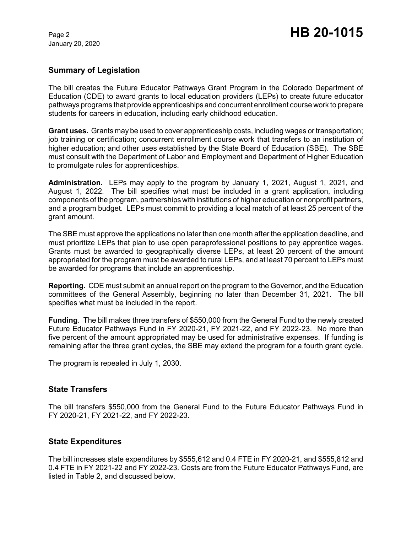January 20, 2020

### **Summary of Legislation**

The bill creates the Future Educator Pathways Grant Program in the Colorado Department of Education (CDE) to award grants to local education providers (LEPs) to create future educator pathways programs that provide apprenticeships and concurrent enrollment course work to prepare students for careers in education, including early childhood education.

**Grant uses.** Grants may be used to cover apprenticeship costs, including wages or transportation; job training or certification; concurrent enrollment course work that transfers to an institution of higher education; and other uses established by the State Board of Education (SBE). The SBE must consult with the Department of Labor and Employment and Department of Higher Education to promulgate rules for apprenticeships.

**Administration.** LEPs may apply to the program by January 1, 2021, August 1, 2021, and August 1, 2022. The bill specifies what must be included in a grant application, including components of the program, partnerships with institutions of higher education or nonprofit partners, and a program budget. LEPs must commit to providing a local match of at least 25 percent of the grant amount.

The SBE must approve the applications no later than one month after the application deadline, and must prioritize LEPs that plan to use open paraprofessional positions to pay apprentice wages. Grants must be awarded to geographically diverse LEPs, at least 20 percent of the amount appropriated for the program must be awarded to rural LEPs, and at least 70 percent to LEPs must be awarded for programs that include an apprenticeship.

**Reporting.** CDE must submit an annual report on the program to the Governor, and the Education committees of the General Assembly, beginning no later than December 31, 2021. The bill specifies what must be included in the report.

**Funding**. The bill makes three transfers of \$550,000 from the General Fund to the newly created Future Educator Pathways Fund in FY 2020-21, FY 2021-22, and FY 2022-23. No more than five percent of the amount appropriated may be used for administrative expenses. If funding is remaining after the three grant cycles, the SBE may extend the program for a fourth grant cycle.

The program is repealed in July 1, 2030.

### **State Transfers**

The bill transfers \$550,000 from the General Fund to the Future Educator Pathways Fund in FY 2020-21, FY 2021-22, and FY 2022-23.

### **State Expenditures**

The bill increases state expenditures by \$555,612 and 0.4 FTE in FY 2020-21, and \$555,812 and 0.4 FTE in FY 2021-22 and FY 2022-23. Costs are from the Future Educator Pathways Fund, are listed in Table 2, and discussed below.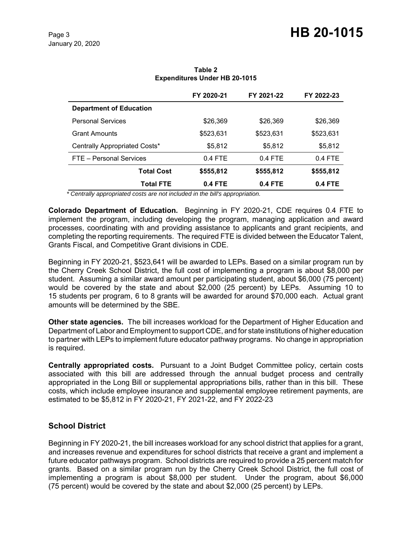|                                | FY 2020-21 | FY 2021-22 | FY 2022-23 |
|--------------------------------|------------|------------|------------|
| <b>Department of Education</b> |            |            |            |
| <b>Personal Services</b>       | \$26,369   | \$26,369   | \$26,369   |
| <b>Grant Amounts</b>           | \$523,631  | \$523,631  | \$523,631  |
| Centrally Appropriated Costs*  | \$5,812    | \$5,812    | \$5,812    |
| FTE - Personal Services        | $0.4$ FTE  | $0.4$ FTE  | $0.4$ FTE  |
| <b>Total Cost</b>              | \$555,812  | \$555,812  | \$555,812  |
| Total FTE                      | $0.4$ FTE  | $0.4$ FTE  | $0.4$ FTE  |

**Table 2 Expenditures Under HB 20-1015**

 *\* Centrally appropriated costs are not included in the bill's appropriation.*

**Colorado Department of Education.** Beginning in FY 2020-21, CDE requires 0.4 FTE to implement the program, including developing the program, managing application and award processes, coordinating with and providing assistance to applicants and grant recipients, and completing the reporting requirements. The required FTE is divided between the Educator Talent, Grants Fiscal, and Competitive Grant divisions in CDE.

Beginning in FY 2020-21, \$523,641 will be awarded to LEPs. Based on a similar program run by the Cherry Creek School District, the full cost of implementing a program is about \$8,000 per student. Assuming a similar award amount per participating student, about \$6,000 (75 percent) would be covered by the state and about \$2,000 (25 percent) by LEPs. Assuming 10 to 15 students per program, 6 to 8 grants will be awarded for around \$70,000 each. Actual grant amounts will be determined by the SBE.

**Other state agencies.** The bill increases workload for the Department of Higher Education and Department of Labor and Employment to support CDE, and for state institutions of higher education to partner with LEPs to implement future educator pathway programs. No change in appropriation is required.

**Centrally appropriated costs.** Pursuant to a Joint Budget Committee policy, certain costs associated with this bill are addressed through the annual budget process and centrally appropriated in the Long Bill or supplemental appropriations bills, rather than in this bill. These costs, which include employee insurance and supplemental employee retirement payments, are estimated to be \$5,812 in FY 2020-21, FY 2021-22, and FY 2022-23

# **School District**

Beginning in FY 2020-21, the bill increases workload for any school district that applies for a grant, and increases revenue and expenditures for school districts that receive a grant and implement a future educator pathways program. School districts are required to provide a 25 percent match for grants. Based on a similar program run by the Cherry Creek School District, the full cost of implementing a program is about \$8,000 per student. Under the program, about \$6,000 (75 percent) would be covered by the state and about \$2,000 (25 percent) by LEPs.